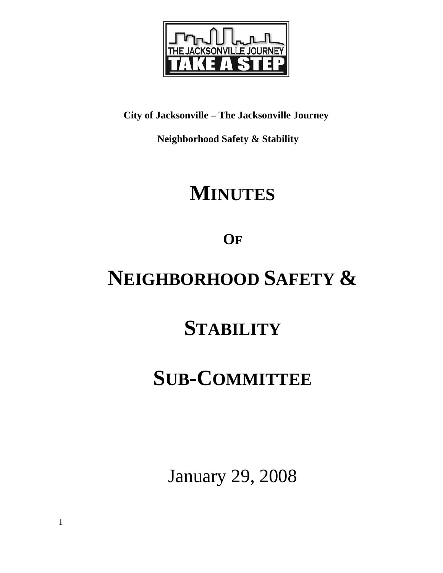

**City of Jacksonville – The Jacksonville Journey** 

 **Neighborhood Safety & Stability** 

# **MINUTES**

**OF**

# **NEIGHBORHOOD SAFETY &**

## **STABILITY**

## **SUB-COMMITTEE**

January 29, 2008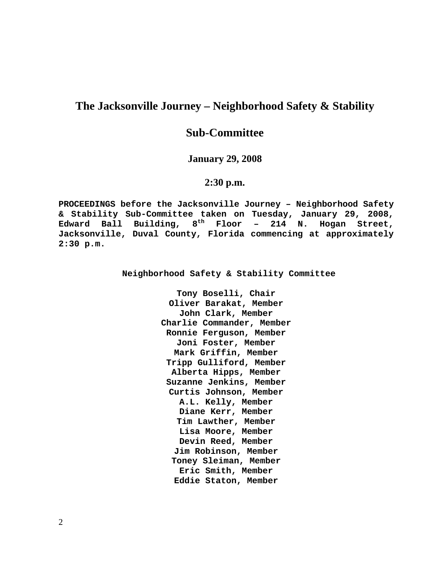## **The Jacksonville Journey – Neighborhood Safety & Stability**

## **Sub-Committee**

## **January 29, 2008**

## **2:30 p.m.**

**PROCEEDINGS before the Jacksonville Journey – Neighborhood Safety & Stability Sub-Committee taken on Tuesday, January 29, 2008, Edward Ball Building, 8th Floor – 214 N. Hogan Street, Jacksonville, Duval County, Florida commencing at approximately 2:30 p.m.** 

**Neighborhood Safety & Stability Committee** 

**Tony Boselli, Chair Oliver Barakat, Member John Clark, Member Charlie Commander, Member Ronnie Ferguson, Member Joni Foster, Member Mark Griffin, Member Tripp Gulliford, Member Alberta Hipps, Member Suzanne Jenkins, Member Curtis Johnson, Member A.L. Kelly, Member Diane Kerr, Member Tim Lawther, Member Lisa Moore, Member Devin Reed, Member Jim Robinson, Member Toney Sleiman, Member Eric Smith, Member Eddie Staton, Member**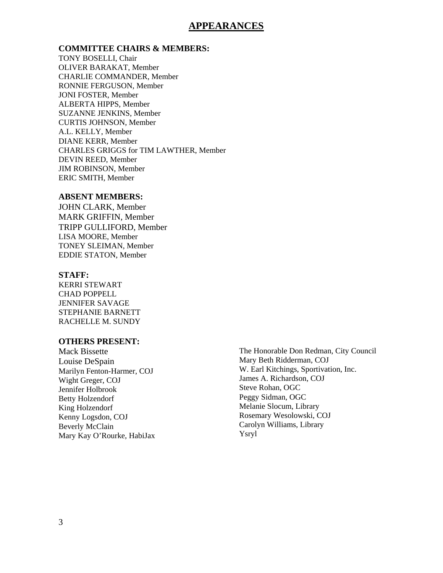## **APPEARANCES**

### **COMMITTEE CHAIRS & MEMBERS:**

TONY BOSELLI, Chair OLIVER BARAKAT, Member CHARLIE COMMANDER, Member RONNIE FERGUSON, Member JONI FOSTER, Member ALBERTA HIPPS, Member SUZANNE JENKINS, Member CURTIS JOHNSON, Member A.L. KELLY, Member DIANE KERR, Member CHARLES GRIGGS for TIM LAWTHER, Member DEVIN REED, Member JIM ROBINSON, Member ERIC SMITH, Member

### **ABSENT MEMBERS:**

JOHN CLARK, Member MARK GRIFFIN, Member TRIPP GULLIFORD, Member LISA MOORE, Member TONEY SLEIMAN, Member EDDIE STATON, Member

#### **STAFF:**

KERRI STEWART CHAD POPPELL JENNIFER SAVAGE STEPHANIE BARNETT RACHELLE M. SUNDY

### **OTHERS PRESENT:**

Mack Bissette Louise DeSpain Marilyn Fenton-Harmer, COJ Wight Greger, COJ Jennifer Holbrook Betty Holzendorf King Holzendorf Kenny Logsdon, COJ Beverly McClain Mary Kay O'Rourke, HabiJax The Honorable Don Redman, City Council Mary Beth Ridderman, COJ W. Earl Kitchings, Sportivation, Inc. James A. Richardson, COJ Steve Rohan, OGC Peggy Sidman, OGC Melanie Slocum, Library Rosemary Wesolowski, COJ Carolyn Williams, Library Ysryl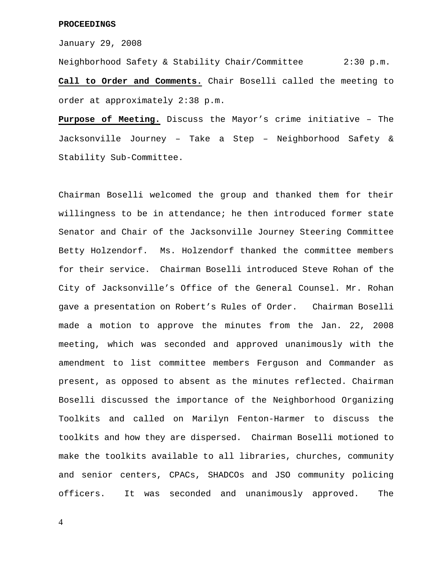#### **PROCEEDINGS**

January 29, 2008

Neighborhood Safety & Stability Chair/Committee 2:30 p.m. **Call to Order and Comments.** Chair Boselli called the meeting to order at approximately 2:38 p.m.

**Purpose of Meeting.** Discuss the Mayor's crime initiative – The Jacksonville Journey – Take a Step – Neighborhood Safety & Stability Sub-Committee.

Chairman Boselli welcomed the group and thanked them for their willingness to be in attendance; he then introduced former state Senator and Chair of the Jacksonville Journey Steering Committee Betty Holzendorf. Ms. Holzendorf thanked the committee members for their service. Chairman Boselli introduced Steve Rohan of the City of Jacksonville's Office of the General Counsel. Mr. Rohan gave a presentation on Robert's Rules of Order. Chairman Boselli made a motion to approve the minutes from the Jan. 22, 2008 meeting, which was seconded and approved unanimously with the amendment to list committee members Ferguson and Commander as present, as opposed to absent as the minutes reflected. Chairman Boselli discussed the importance of the Neighborhood Organizing Toolkits and called on Marilyn Fenton-Harmer to discuss the toolkits and how they are dispersed. Chairman Boselli motioned to make the toolkits available to all libraries, churches, community and senior centers, CPACs, SHADCOs and JSO community policing officers. It was seconded and unanimously approved. The

4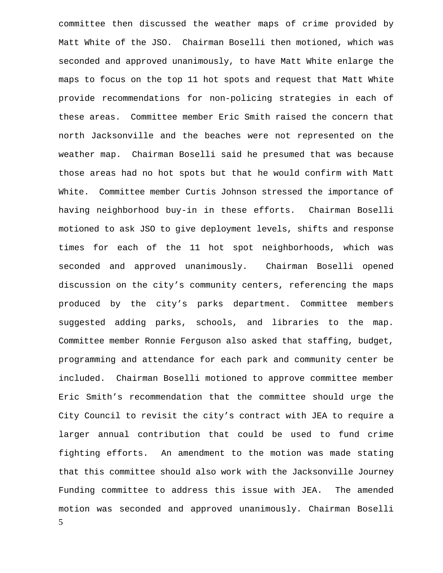5 committee then discussed the weather maps of crime provided by Matt White of the JSO. Chairman Boselli then motioned, which was seconded and approved unanimously, to have Matt White enlarge the maps to focus on the top 11 hot spots and request that Matt White provide recommendations for non-policing strategies in each of these areas. Committee member Eric Smith raised the concern that north Jacksonville and the beaches were not represented on the weather map. Chairman Boselli said he presumed that was because those areas had no hot spots but that he would confirm with Matt White. Committee member Curtis Johnson stressed the importance of having neighborhood buy-in in these efforts. Chairman Boselli motioned to ask JSO to give deployment levels, shifts and response times for each of the 11 hot spot neighborhoods, which was seconded and approved unanimously. Chairman Boselli opened discussion on the city's community centers, referencing the maps produced by the city's parks department. Committee members suggested adding parks, schools, and libraries to the map. Committee member Ronnie Ferguson also asked that staffing, budget, programming and attendance for each park and community center be included. Chairman Boselli motioned to approve committee member Eric Smith's recommendation that the committee should urge the City Council to revisit the city's contract with JEA to require a larger annual contribution that could be used to fund crime fighting efforts. An amendment to the motion was made stating that this committee should also work with the Jacksonville Journey Funding committee to address this issue with JEA. The amended motion was seconded and approved unanimously. Chairman Boselli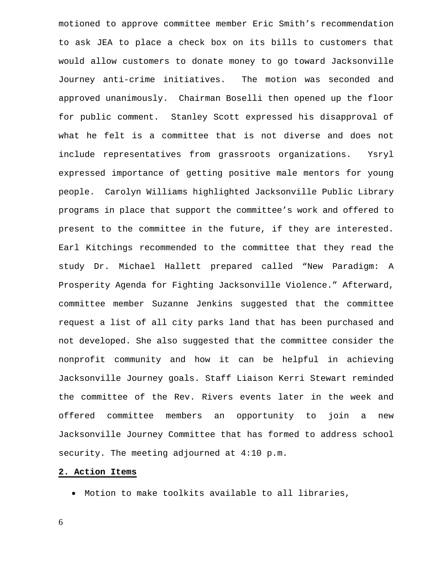motioned to approve committee member Eric Smith's recommendation to ask JEA to place a check box on its bills to customers that would allow customers to donate money to go toward Jacksonville Journey anti-crime initiatives. The motion was seconded and approved unanimously. Chairman Boselli then opened up the floor for public comment. Stanley Scott expressed his disapproval of what he felt is a committee that is not diverse and does not include representatives from grassroots organizations. Ysryl expressed importance of getting positive male mentors for young people. Carolyn Williams highlighted Jacksonville Public Library programs in place that support the committee's work and offered to present to the committee in the future, if they are interested. Earl Kitchings recommended to the committee that they read the study Dr. Michael Hallett prepared called "New Paradigm: A Prosperity Agenda for Fighting Jacksonville Violence." Afterward, committee member Suzanne Jenkins suggested that the committee request a list of all city parks land that has been purchased and not developed. She also suggested that the committee consider the nonprofit community and how it can be helpful in achieving Jacksonville Journey goals. Staff Liaison Kerri Stewart reminded the committee of the Rev. Rivers events later in the week and offered committee members an opportunity to join a new Jacksonville Journey Committee that has formed to address school security. The meeting adjourned at 4:10 p.m.

#### **2. Action Items**

• Motion to make toolkits available to all libraries,

6